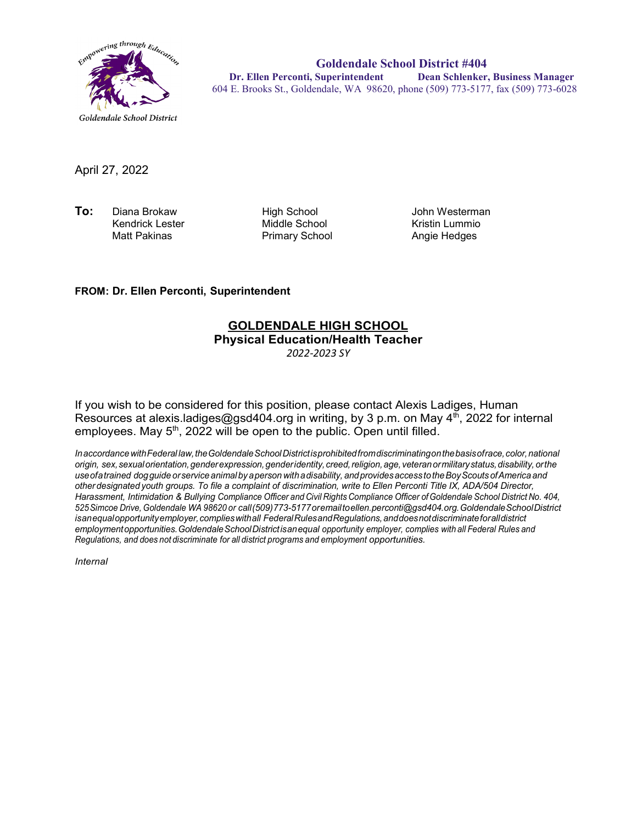

**Goldendale School District #404 Dr. Ellen Perconti, Superintendent Dean Schlenker, Business Manager** 604 E. Brooks St., Goldendale, WA 98620, phone (509) 773-5177, fax (509) 773-6028

April 27, 2022

**To:** Diana Brokaw High School John Westerman Kendrick Lester Middle School Kristin Lummio

Primary School

## **FROM: Dr. Ellen Perconti, Superintendent**

## **GOLDENDALE HIGH SCHOOL Physical Education/Health Teacher**

*2022-2023 SY*

If you wish to be considered for this position, please contact Alexis Ladiges, Human Resources at alexis.ladiges@gsd404.org in writing, by 3 p.m. on May  $4^{th}$ , 2022 for internal employees. May  $5<sup>th</sup>$ , 2022 will be open to the public. Open until filled.

*InaccordancewithFederal law,theGoldendaleSchoolDistrictisprohibitedfromdiscriminatingonthebasisofrace,color,national origin, sex,sexualorientation,genderexpression,genderidentity, creed,religion,age, veteranormilitarystatus,disability, orthe useofatrained dogguide orservice animal by aperson withadisability, andprovidesaccess totheBoyScouts ofAmerica and other designated youth groups. To file a complaint of discrimination, write to Ellen Perconti Title IX, ADA/504 Director, Harassment, Intimidation & Bullying Compliance Officer and Civil Rights Compliance Officer ofGoldendale School District No. 404, 525Simcoe Drive, Goldendale WA 98620 or call(509)773-5177oremailt[oellen.perconti@gsd404.org.G](mailto:ellen.perconti@gsd404.org)oldendaleSchoolDistrict isanequalopportunityemployer,complieswithall FederalRulesandRegulations,anddoesnotdiscriminateforalldistrict employmentopportunities.GoldendaleSchoolDistrictisanequal opportunity employer, complies with all Federal Rules and Regulations, and does not discriminate for all district programs and employment opportunities.*

*Internal*